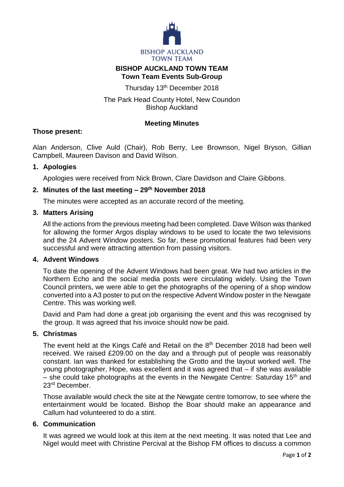

## **BISHOP AUCKLAND TOWN TEAM Town Team Events Sub-Group**

Thursday 13th December 2018

# The Park Head County Hotel, New Coundon Bishop Auckland

### **Meeting Minutes**

### **Those present:**

Alan Anderson, Clive Auld (Chair), Rob Berry, Lee Brownson, Nigel Bryson, Gillian Campbell, Maureen Davison and David Wilson.

### **1. Apologies**

Apologies were received from Nick Brown, Clare Davidson and Claire Gibbons.

# **2. Minutes of the last meeting – 29th November 2018**

The minutes were accepted as an accurate record of the meeting.

#### **3. Matters Arising**

All the actions from the previous meeting had been completed. Dave Wilson was thanked for allowing the former Argos display windows to be used to locate the two televisions and the 24 Advent Window posters. So far, these promotional features had been very successful and were attracting attention from passing visitors.

#### **4. Advent Windows**

To date the opening of the Advent Windows had been great. We had two articles in the Northern Echo and the social media posts were circulating widely. Using the Town Council printers, we were able to get the photographs of the opening of a shop window converted into a A3 poster to put on the respective Advent Window poster in the Newgate Centre. This was working well.

David and Pam had done a great job organising the event and this was recognised by the group. It was agreed that his invoice should now be paid.

### **5. Christmas**

The event held at the Kings Café and Retail on the 8<sup>th</sup> December 2018 had been well received. We raised £209.00 on the day and a through put of people was reasonably constant. Ian was thanked for establishing the Grotto and the layout worked well. The young photographer, Hope, was excellent and it was agreed that – if she was available – she could take photographs at the events in the Newgate Centre: Saturday 15<sup>th</sup> and 23rd December.

Those available would check the site at the Newgate centre tomorrow, to see where the entertainment would be located. Bishop the Boar should make an appearance and Callum had volunteered to do a stint.

### **6. Communication**

It was agreed we would look at this item at the next meeting. It was noted that Lee and Nigel would meet with Christine Percival at the Bishop FM offices to discuss a common